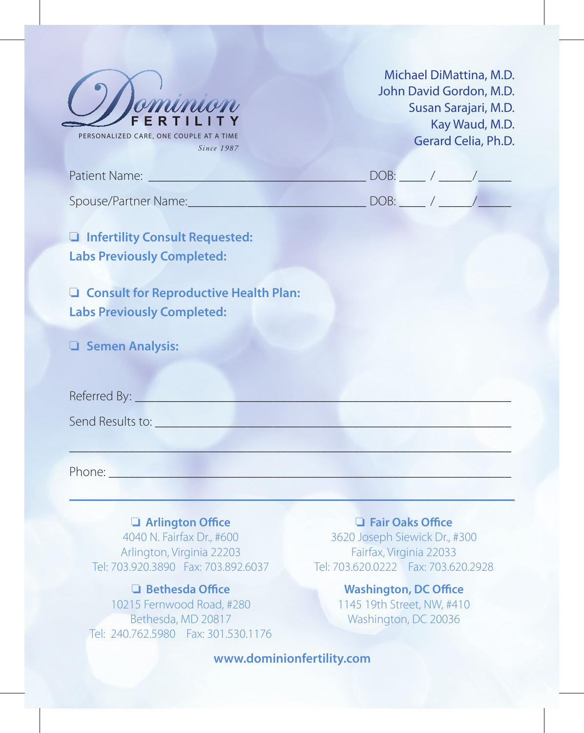

Michael DiMattina, M.D. John David Gordon, M.D. Susan Sarajari, M.D. Kay Waud, M.D. Gerard Celia, Ph.D.

| Patient Name:        |  |
|----------------------|--|
| Spouse/Partner Name: |  |

**a** Infertility Consult Requested: **Labs Previously Completed:**

**Q** Consult for Reproductive Health Plan: **Labs Previously Completed:**

o **Semen Analysis:**

Referred By:

Send Results to:

Phone: \_\_\_\_\_\_\_\_\_\_\_\_\_\_\_\_\_\_\_\_\_\_\_\_\_\_\_\_\_\_\_\_\_\_\_\_\_\_\_\_\_\_\_\_\_\_\_\_\_\_\_\_\_\_\_\_\_\_\_\_\_

o **Arlington Office** 4040 N. Fairfax Dr., #600 Arlington, Virginia 22203 Tel: 703.920.3890 Fax: 703.892.6037

o **Bethesda Office** 10215 Fernwood Road, #280 Bethesda, MD 20817 Tel: 240.762.5980 Fax: 301.530.1176

o **Fair Oaks Office** 3620 Joseph Siewick Dr., #300 Fairfax, Virginia 22033 Tel: 703.620.0222 Fax: 703.620.2928

> **Washington, DC Office** 1145 19th Street, NW, #410 Washington, DC 20036

**www.dominionfertility.com**

\_\_\_\_\_\_\_\_\_\_\_\_\_\_\_\_\_\_\_\_\_\_\_\_\_\_\_\_\_\_\_\_\_\_\_\_\_\_\_\_\_\_\_\_\_\_\_\_\_\_\_\_\_\_\_\_\_\_\_\_\_\_\_\_\_\_\_